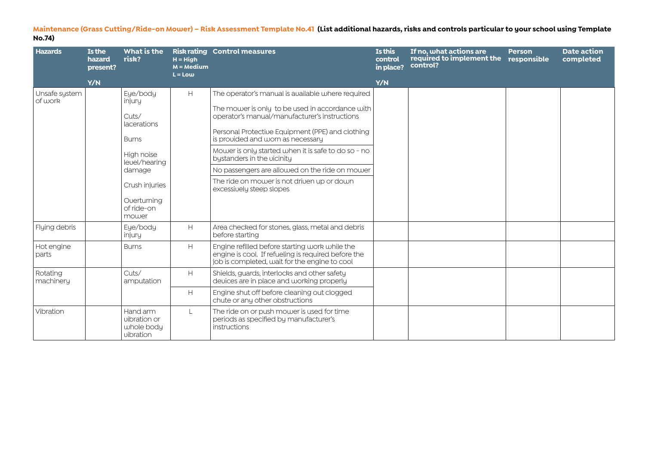**Maintenance (Grass Cutting/Ride-on Mower) – Risk Assessment Template No.41 (List additional hazards, risks and controls particular to your school using Template No.74)**

| <b>Hazards</b>           | Is the<br>hazard<br>present? | What is the<br>risk?                                                                                                                                       | $H = H$ iah<br>$M = Medium$<br>$L = Low$            | <b>Risk rating Control measures</b>                                                                                                                                                                                                                                                                                                                                                                                                                             | Is this<br>control<br>in place? | If no, what actions are<br>required to implement the<br>control? | <b>Person</b><br>responsible | <b>Date action</b><br>completed |
|--------------------------|------------------------------|------------------------------------------------------------------------------------------------------------------------------------------------------------|-----------------------------------------------------|-----------------------------------------------------------------------------------------------------------------------------------------------------------------------------------------------------------------------------------------------------------------------------------------------------------------------------------------------------------------------------------------------------------------------------------------------------------------|---------------------------------|------------------------------------------------------------------|------------------------------|---------------------------------|
|                          | Y/N                          |                                                                                                                                                            |                                                     |                                                                                                                                                                                                                                                                                                                                                                                                                                                                 | Y/N                             |                                                                  |                              |                                 |
| Unsafe system<br>of work |                              | Eye/body<br>injury<br>Cuts/<br>lacerations<br><b>Bums</b><br>High noise<br>level/hearing<br>damage<br>Crush injuries<br>Ouerturning<br>of ride-on<br>mower | $\mathsf{H}% _{\mathsf{H}}^{\ast}(\mathcal{M}_{0})$ | The operator's manual is available where required<br>The mower is only to be used in accordance with<br>operator's manual/manufacturer's instructions<br>Personal Protective Equipment (PPE) and clothing<br>is provided and worn as necessary<br>Mower is only started when it is safe to do so - no<br>bystanders in the vicinity<br>No passengers are allowed on the ride on mower<br>The ride on mower is not driven up or down<br>excessively steep slopes |                                 |                                                                  |                              |                                 |
| Flying debris            |                              | Eye/body<br>injury                                                                                                                                         | $\mathsf{H}% _{\mathsf{H}}^{\ast}(\mathcal{M}_{0})$ | Area checked for stones, glass, metal and debris<br>before starting                                                                                                                                                                                                                                                                                                                                                                                             |                                 |                                                                  |                              |                                 |
| Hot engine<br>parts      |                              | <b>Burns</b>                                                                                                                                               | H                                                   | Engine refilled before starting work while the<br>engine is cool. If refueling is required before the<br>job is completed, wait for the engine to cool                                                                                                                                                                                                                                                                                                          |                                 |                                                                  |                              |                                 |
| Rotating<br>machinery    |                              | Cuts/<br>amputation                                                                                                                                        | H                                                   | Shields, guards, interlocks and other safety<br>devices are in place and working properly                                                                                                                                                                                                                                                                                                                                                                       |                                 |                                                                  |                              |                                 |
|                          |                              |                                                                                                                                                            | H                                                   | Engine shut off before cleaning out clogged<br>chute or any other obstructions                                                                                                                                                                                                                                                                                                                                                                                  |                                 |                                                                  |                              |                                 |
| Vibration                |                              | Hand arm<br>uibration or<br>whole body<br>vibration                                                                                                        | L.                                                  | The ride on or push mower is used for time<br>periods as specified by manufacturer's<br>instructions                                                                                                                                                                                                                                                                                                                                                            |                                 |                                                                  |                              |                                 |